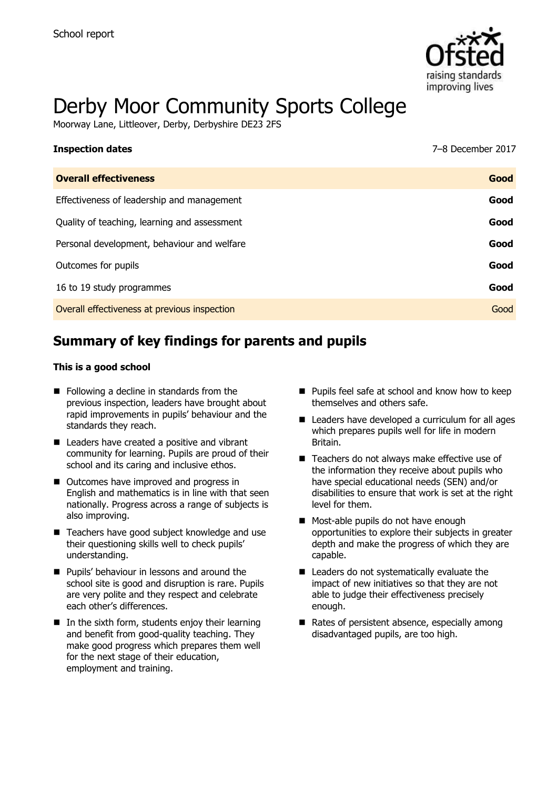

# Derby Moor Community Sports College

Moorway Lane, Littleover, Derby, Derbyshire DE23 2FS

| <b>Inspection dates</b>                      | 7-8 December 2017 |
|----------------------------------------------|-------------------|
| <b>Overall effectiveness</b>                 | Good              |
| Effectiveness of leadership and management   | Good              |
| Quality of teaching, learning and assessment | Good              |
| Personal development, behaviour and welfare  | Good              |
| Outcomes for pupils                          | Good              |
| 16 to 19 study programmes                    | Good              |
| Overall effectiveness at previous inspection | Good              |
|                                              |                   |

# **Summary of key findings for parents and pupils**

#### **This is a good school**

- Following a decline in standards from the previous inspection, leaders have brought about rapid improvements in pupils' behaviour and the standards they reach.
- Leaders have created a positive and vibrant community for learning. Pupils are proud of their school and its caring and inclusive ethos.
- Outcomes have improved and progress in English and mathematics is in line with that seen nationally. Progress across a range of subjects is also improving.
- Teachers have good subject knowledge and use their questioning skills well to check pupils' understanding.
- **Pupils' behaviour in lessons and around the** school site is good and disruption is rare. Pupils are very polite and they respect and celebrate each other's differences.
- $\blacksquare$  In the sixth form, students enjoy their learning and benefit from good-quality teaching. They make good progress which prepares them well for the next stage of their education, employment and training.
- **Pupils feel safe at school and know how to keep** themselves and others safe.
- Leaders have developed a curriculum for all ages which prepares pupils well for life in modern Britain.
- Teachers do not always make effective use of the information they receive about pupils who have special educational needs (SEN) and/or disabilities to ensure that work is set at the right level for them.
- Most-able pupils do not have enough opportunities to explore their subjects in greater depth and make the progress of which they are capable.
- Leaders do not systematically evaluate the impact of new initiatives so that they are not able to judge their effectiveness precisely enough.
- Rates of persistent absence, especially among disadvantaged pupils, are too high.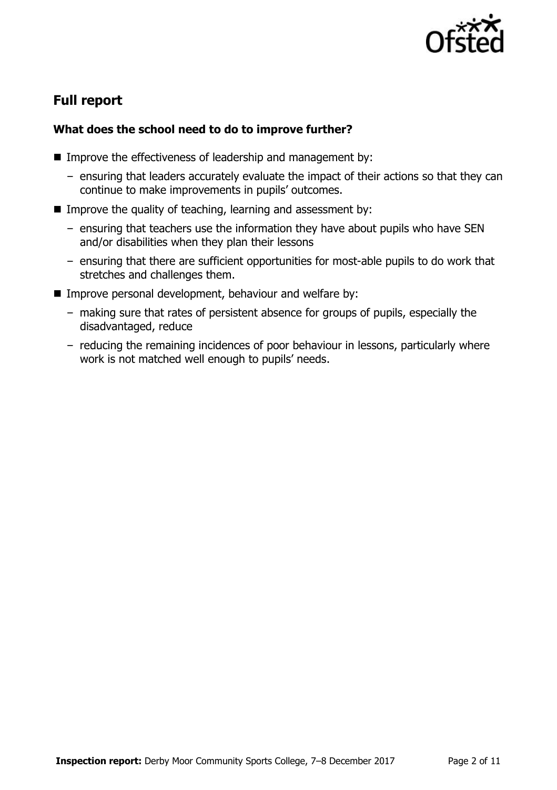

# **Full report**

### **What does the school need to do to improve further?**

- **IMPROVE THE EFFECT IVE ASSET SET ASSET IN THE EXAM** IMPROVE the effectiveness of leadership and management by:
	- ensuring that leaders accurately evaluate the impact of their actions so that they can continue to make improvements in pupils' outcomes.
- Improve the quality of teaching, learning and assessment by:
	- ensuring that teachers use the information they have about pupils who have SEN and/or disabilities when they plan their lessons
	- ensuring that there are sufficient opportunities for most-able pupils to do work that stretches and challenges them.
- **IMPROVE personal development, behaviour and welfare by:** 
	- making sure that rates of persistent absence for groups of pupils, especially the disadvantaged, reduce
	- reducing the remaining incidences of poor behaviour in lessons, particularly where work is not matched well enough to pupils' needs.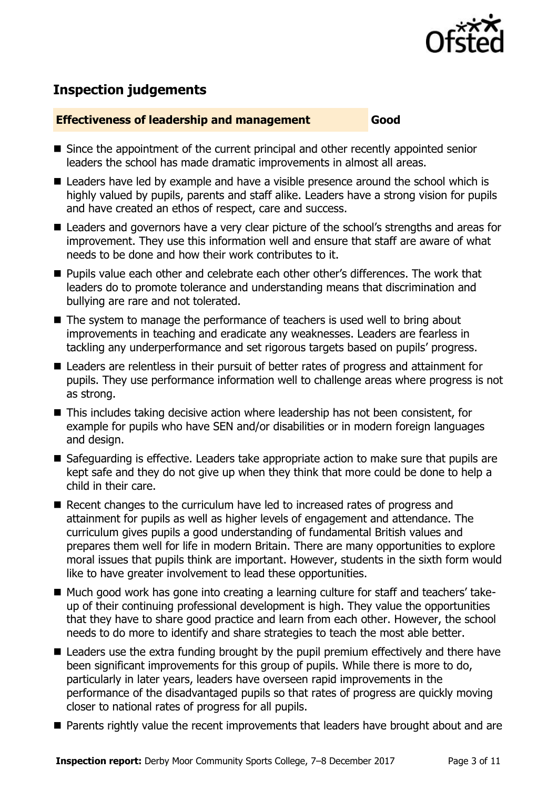

# **Inspection judgements**

#### **Effectiveness of leadership and management Good**

- Since the appointment of the current principal and other recently appointed senior leaders the school has made dramatic improvements in almost all areas.
- Leaders have led by example and have a visible presence around the school which is highly valued by pupils, parents and staff alike. Leaders have a strong vision for pupils and have created an ethos of respect, care and success.
- Leaders and governors have a very clear picture of the school's strengths and areas for improvement. They use this information well and ensure that staff are aware of what needs to be done and how their work contributes to it.
- **Pupils value each other and celebrate each other other's differences. The work that** leaders do to promote tolerance and understanding means that discrimination and bullying are rare and not tolerated.
- The system to manage the performance of teachers is used well to bring about improvements in teaching and eradicate any weaknesses. Leaders are fearless in tackling any underperformance and set rigorous targets based on pupils' progress.
- Leaders are relentless in their pursuit of better rates of progress and attainment for pupils. They use performance information well to challenge areas where progress is not as strong.
- This includes taking decisive action where leadership has not been consistent, for example for pupils who have SEN and/or disabilities or in modern foreign languages and design.
- Safeguarding is effective. Leaders take appropriate action to make sure that pupils are kept safe and they do not give up when they think that more could be done to help a child in their care.
- Recent changes to the curriculum have led to increased rates of progress and attainment for pupils as well as higher levels of engagement and attendance. The curriculum gives pupils a good understanding of fundamental British values and prepares them well for life in modern Britain. There are many opportunities to explore moral issues that pupils think are important. However, students in the sixth form would like to have greater involvement to lead these opportunities.
- Much good work has gone into creating a learning culture for staff and teachers' takeup of their continuing professional development is high. They value the opportunities that they have to share good practice and learn from each other. However, the school needs to do more to identify and share strategies to teach the most able better.
- Leaders use the extra funding brought by the pupil premium effectively and there have been significant improvements for this group of pupils. While there is more to do, particularly in later years, leaders have overseen rapid improvements in the performance of the disadvantaged pupils so that rates of progress are quickly moving closer to national rates of progress for all pupils.
- **Parents rightly value the recent improvements that leaders have brought about and are**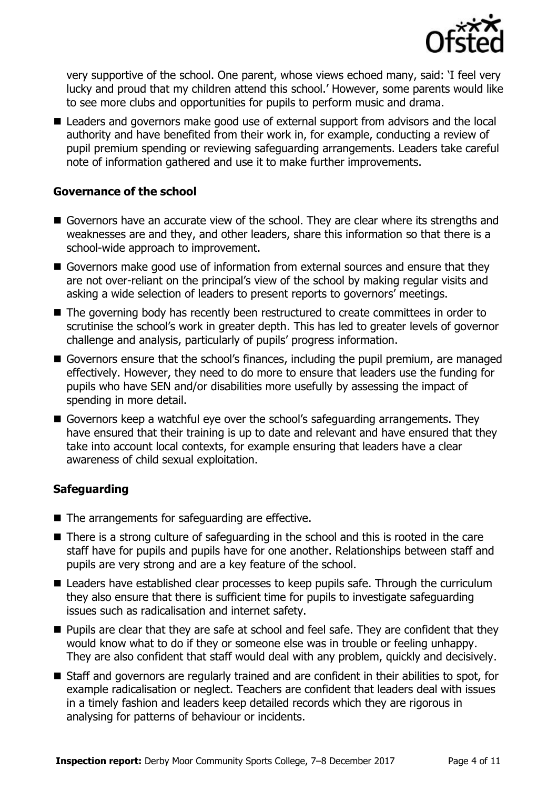

very supportive of the school. One parent, whose views echoed many, said: 'I feel very lucky and proud that my children attend this school.' However, some parents would like to see more clubs and opportunities for pupils to perform music and drama.

■ Leaders and governors make good use of external support from advisors and the local authority and have benefited from their work in, for example, conducting a review of pupil premium spending or reviewing safeguarding arrangements. Leaders take careful note of information gathered and use it to make further improvements.

#### **Governance of the school**

- Governors have an accurate view of the school. They are clear where its strengths and weaknesses are and they, and other leaders, share this information so that there is a school-wide approach to improvement.
- Governors make good use of information from external sources and ensure that they are not over-reliant on the principal's view of the school by making regular visits and asking a wide selection of leaders to present reports to governors' meetings.
- The governing body has recently been restructured to create committees in order to scrutinise the school's work in greater depth. This has led to greater levels of governor challenge and analysis, particularly of pupils' progress information.
- Governors ensure that the school's finances, including the pupil premium, are managed effectively. However, they need to do more to ensure that leaders use the funding for pupils who have SEN and/or disabilities more usefully by assessing the impact of spending in more detail.
- Governors keep a watchful eye over the school's safeguarding arrangements. They have ensured that their training is up to date and relevant and have ensured that they take into account local contexts, for example ensuring that leaders have a clear awareness of child sexual exploitation.

#### **Safeguarding**

- $\blacksquare$  The arrangements for safeguarding are effective.
- There is a strong culture of safeguarding in the school and this is rooted in the care staff have for pupils and pupils have for one another. Relationships between staff and pupils are very strong and are a key feature of the school.
- Leaders have established clear processes to keep pupils safe. Through the curriculum they also ensure that there is sufficient time for pupils to investigate safeguarding issues such as radicalisation and internet safety.
- **Pupils are clear that they are safe at school and feel safe. They are confident that they** would know what to do if they or someone else was in trouble or feeling unhappy. They are also confident that staff would deal with any problem, quickly and decisively.
- Staff and governors are regularly trained and are confident in their abilities to spot, for example radicalisation or neglect. Teachers are confident that leaders deal with issues in a timely fashion and leaders keep detailed records which they are rigorous in analysing for patterns of behaviour or incidents.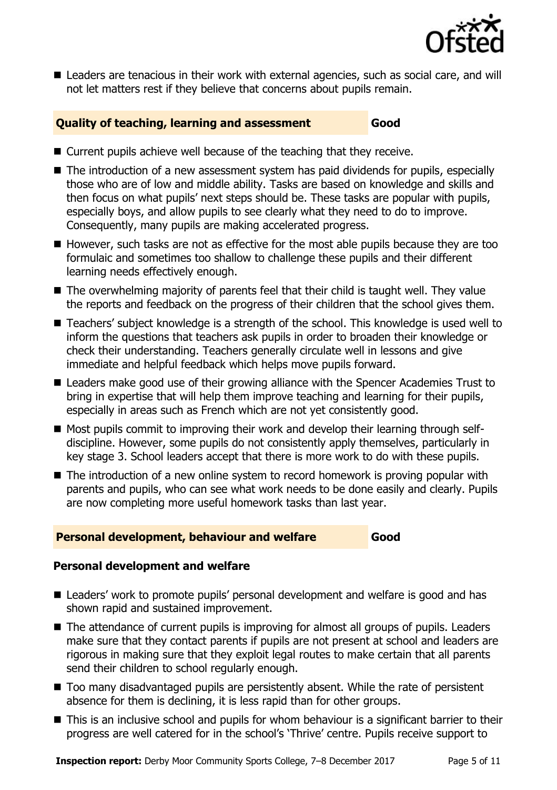

Leaders are tenacious in their work with external agencies, such as social care, and will not let matters rest if they believe that concerns about pupils remain.

#### **Quality of teaching, learning and assessment Good**

- Current pupils achieve well because of the teaching that they receive.
- The introduction of a new assessment system has paid dividends for pupils, especially those who are of low and middle ability. Tasks are based on knowledge and skills and then focus on what pupils' next steps should be. These tasks are popular with pupils, especially boys, and allow pupils to see clearly what they need to do to improve. Consequently, many pupils are making accelerated progress.
- However, such tasks are not as effective for the most able pupils because they are too formulaic and sometimes too shallow to challenge these pupils and their different learning needs effectively enough.
- The overwhelming majority of parents feel that their child is taught well. They value the reports and feedback on the progress of their children that the school gives them.
- Teachers' subject knowledge is a strength of the school. This knowledge is used well to inform the questions that teachers ask pupils in order to broaden their knowledge or check their understanding. Teachers generally circulate well in lessons and give immediate and helpful feedback which helps move pupils forward.
- Leaders make good use of their growing alliance with the Spencer Academies Trust to bring in expertise that will help them improve teaching and learning for their pupils, especially in areas such as French which are not yet consistently good.
- Most pupils commit to improving their work and develop their learning through selfdiscipline. However, some pupils do not consistently apply themselves, particularly in key stage 3. School leaders accept that there is more work to do with these pupils.
- The introduction of a new online system to record homework is proving popular with parents and pupils, who can see what work needs to be done easily and clearly. Pupils are now completing more useful homework tasks than last year.

#### **Personal development, behaviour and welfare Good**

#### **Personal development and welfare**

- Leaders' work to promote pupils' personal development and welfare is good and has shown rapid and sustained improvement.
- The attendance of current pupils is improving for almost all groups of pupils. Leaders make sure that they contact parents if pupils are not present at school and leaders are rigorous in making sure that they exploit legal routes to make certain that all parents send their children to school regularly enough.
- Too many disadvantaged pupils are persistently absent. While the rate of persistent absence for them is declining, it is less rapid than for other groups.
- This is an inclusive school and pupils for whom behaviour is a significant barrier to their progress are well catered for in the school's 'Thrive' centre. Pupils receive support to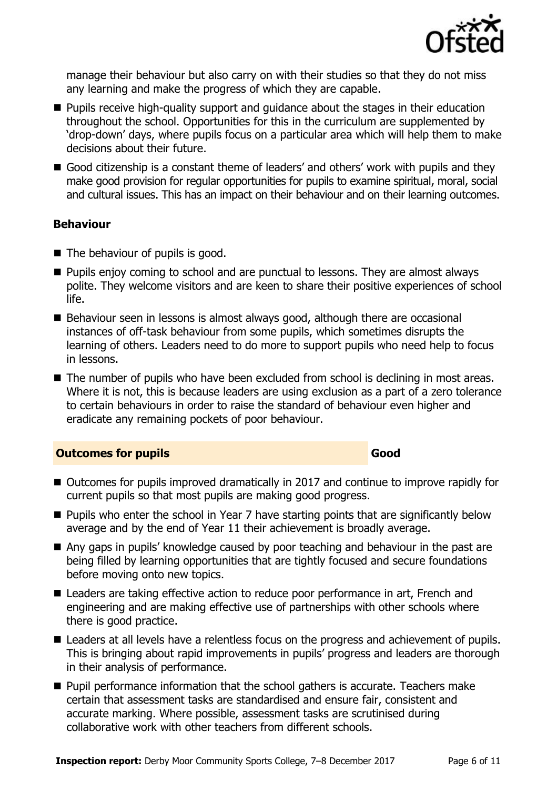

manage their behaviour but also carry on with their studies so that they do not miss any learning and make the progress of which they are capable.

- **Pupils receive high-quality support and guidance about the stages in their education** throughout the school. Opportunities for this in the curriculum are supplemented by 'drop-down' days, where pupils focus on a particular area which will help them to make decisions about their future.
- Good citizenship is a constant theme of leaders' and others' work with pupils and they make good provision for regular opportunities for pupils to examine spiritual, moral, social and cultural issues. This has an impact on their behaviour and on their learning outcomes.

#### **Behaviour**

- The behaviour of pupils is good.
- **Pupils enjoy coming to school and are punctual to lessons. They are almost always** polite. They welcome visitors and are keen to share their positive experiences of school life.
- Behaviour seen in lessons is almost always good, although there are occasional instances of off-task behaviour from some pupils, which sometimes disrupts the learning of others. Leaders need to do more to support pupils who need help to focus in lessons.
- The number of pupils who have been excluded from school is declining in most areas. Where it is not, this is because leaders are using exclusion as a part of a zero tolerance to certain behaviours in order to raise the standard of behaviour even higher and eradicate any remaining pockets of poor behaviour.

#### **Outcomes for pupils Good**

- Outcomes for pupils improved dramatically in 2017 and continue to improve rapidly for current pupils so that most pupils are making good progress.
- **Pupils who enter the school in Year 7 have starting points that are significantly below** average and by the end of Year 11 their achievement is broadly average.
- Any gaps in pupils' knowledge caused by poor teaching and behaviour in the past are being filled by learning opportunities that are tightly focused and secure foundations before moving onto new topics.
- Leaders are taking effective action to reduce poor performance in art, French and engineering and are making effective use of partnerships with other schools where there is good practice.
- Leaders at all levels have a relentless focus on the progress and achievement of pupils. This is bringing about rapid improvements in pupils' progress and leaders are thorough in their analysis of performance.
- **Pupil performance information that the school gathers is accurate. Teachers make** certain that assessment tasks are standardised and ensure fair, consistent and accurate marking. Where possible, assessment tasks are scrutinised during collaborative work with other teachers from different schools.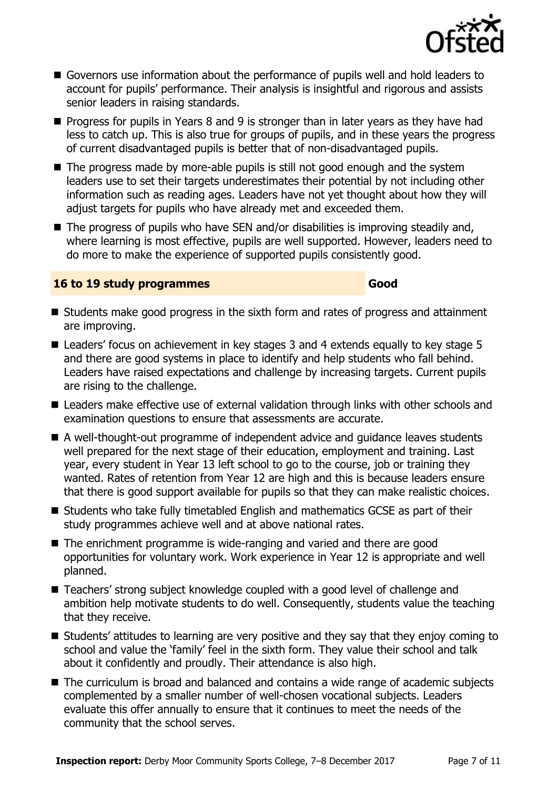

- Governors use information about the performance of pupils well and hold leaders to account for pupils' performance. Their analysis is insightful and rigorous and assists senior leaders in raising standards.
- **Progress for pupils in Years 8 and 9 is stronger than in later years as they have had** less to catch up. This is also true for groups of pupils, and in these years the progress of current disadvantaged pupils is better that of non-disadvantaged pupils.
- $\blacksquare$  The progress made by more-able pupils is still not good enough and the system leaders use to set their targets underestimates their potential by not including other information such as reading ages. Leaders have not yet thought about how they will adjust targets for pupils who have already met and exceeded them.
- $\blacksquare$  The progress of pupils who have SEN and/or disabilities is improving steadily and, where learning is most effective, pupils are well supported. However, leaders need to do more to make the experience of supported pupils consistently good.

#### **16 to 19 study programmes Good**

- Students make good progress in the sixth form and rates of progress and attainment are improving.
- Leaders' focus on achievement in key stages 3 and 4 extends equally to key stage 5 and there are good systems in place to identify and help students who fall behind. Leaders have raised expectations and challenge by increasing targets. Current pupils are rising to the challenge.
- Leaders make effective use of external validation through links with other schools and examination questions to ensure that assessments are accurate.
- A well-thought-out programme of independent advice and guidance leaves students well prepared for the next stage of their education, employment and training. Last year, every student in Year 13 left school to go to the course, job or training they wanted. Rates of retention from Year 12 are high and this is because leaders ensure that there is good support available for pupils so that they can make realistic choices.
- $\blacksquare$  Students who take fully timetabled English and mathematics GCSE as part of their study programmes achieve well and at above national rates.
- The enrichment programme is wide-ranging and varied and there are good opportunities for voluntary work. Work experience in Year 12 is appropriate and well planned.
- Teachers' strong subject knowledge coupled with a good level of challenge and ambition help motivate students to do well. Consequently, students value the teaching that they receive.
- Students' attitudes to learning are very positive and they say that they enjoy coming to school and value the 'family' feel in the sixth form. They value their school and talk about it confidently and proudly. Their attendance is also high.
- The curriculum is broad and balanced and contains a wide range of academic subjects complemented by a smaller number of well-chosen vocational subjects. Leaders evaluate this offer annually to ensure that it continues to meet the needs of the community that the school serves.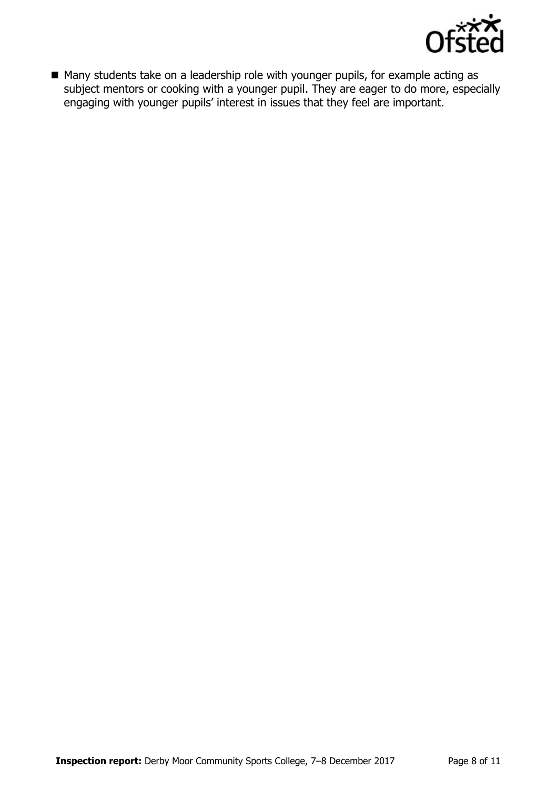

■ Many students take on a leadership role with younger pupils, for example acting as subject mentors or cooking with a younger pupil. They are eager to do more, especially engaging with younger pupils' interest in issues that they feel are important.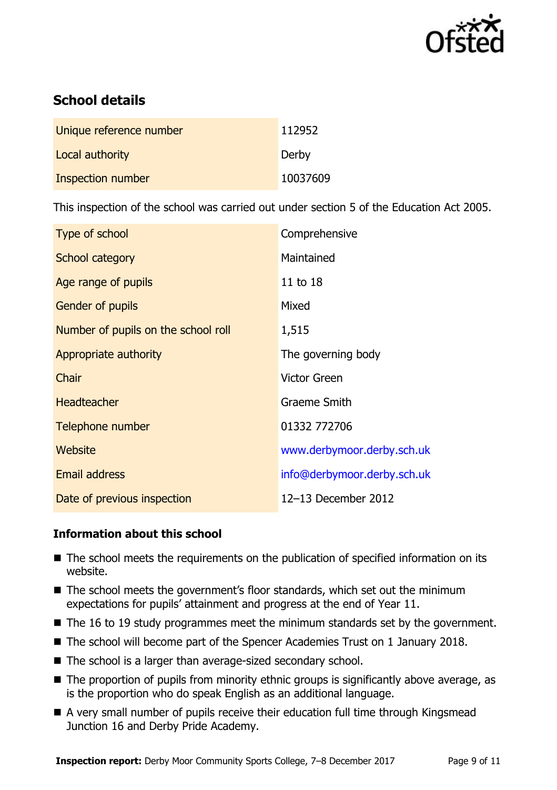

# **School details**

| Unique reference number  | 112952   |
|--------------------------|----------|
| Local authority          | Derby    |
| <b>Inspection number</b> | 10037609 |

This inspection of the school was carried out under section 5 of the Education Act 2005.

| Type of school                      | Comprehensive               |
|-------------------------------------|-----------------------------|
| School category                     | Maintained                  |
| Age range of pupils                 | 11 to 18                    |
| <b>Gender of pupils</b>             | Mixed                       |
| Number of pupils on the school roll | 1,515                       |
| Appropriate authority               | The governing body          |
| Chair                               | <b>Victor Green</b>         |
| <b>Headteacher</b>                  | <b>Graeme Smith</b>         |
| Telephone number                    | 01332 772706                |
| Website                             | www.derbymoor.derby.sch.uk  |
| <b>Email address</b>                | info@derbymoor.derby.sch.uk |
| Date of previous inspection         | 12-13 December 2012         |

### **Information about this school**

- The school meets the requirements on the publication of specified information on its website.
- The school meets the government's floor standards, which set out the minimum expectations for pupils' attainment and progress at the end of Year 11.
- $\blacksquare$  The 16 to 19 study programmes meet the minimum standards set by the government.
- The school will become part of the Spencer Academies Trust on 1 January 2018.
- The school is a larger than average-sized secondary school.
- The proportion of pupils from minority ethnic groups is significantly above average, as is the proportion who do speak English as an additional language.
- A very small number of pupils receive their education full time through Kingsmead Junction 16 and Derby Pride Academy.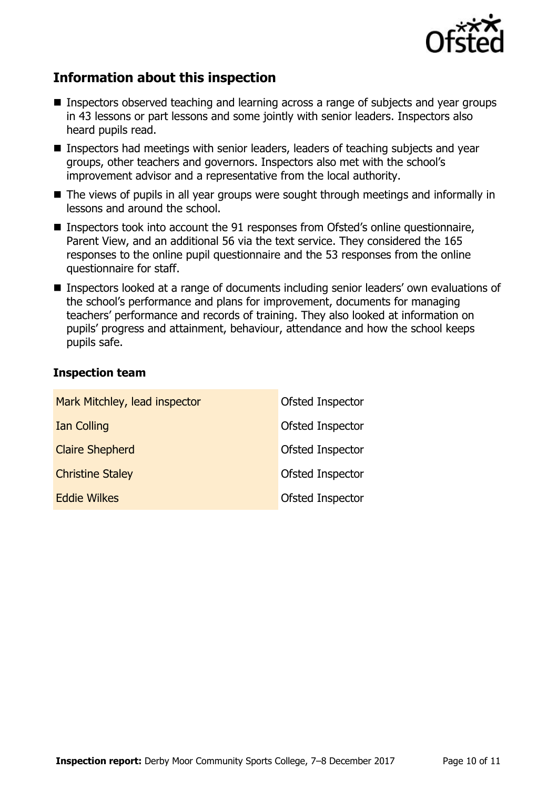

# **Information about this inspection**

- Inspectors observed teaching and learning across a range of subjects and year groups in 43 lessons or part lessons and some jointly with senior leaders. Inspectors also heard pupils read.
- **Inspectors had meetings with senior leaders, leaders of teaching subjects and year** groups, other teachers and governors. Inspectors also met with the school's improvement advisor and a representative from the local authority.
- The views of pupils in all year groups were sought through meetings and informally in lessons and around the school.
- Inspectors took into account the 91 responses from Ofsted's online questionnaire, Parent View, and an additional 56 via the text service. They considered the 165 responses to the online pupil questionnaire and the 53 responses from the online questionnaire for staff.
- Inspectors looked at a range of documents including senior leaders' own evaluations of the school's performance and plans for improvement, documents for managing teachers' performance and records of training. They also looked at information on pupils' progress and attainment, behaviour, attendance and how the school keeps pupils safe.

#### **Inspection team**

| Mark Mitchley, lead inspector | <b>Ofsted Inspector</b> |
|-------------------------------|-------------------------|
| <b>Ian Colling</b>            | Ofsted Inspector        |
| <b>Claire Shepherd</b>        | Ofsted Inspector        |
| <b>Christine Staley</b>       | Ofsted Inspector        |
| <b>Eddie Wilkes</b>           | Ofsted Inspector        |